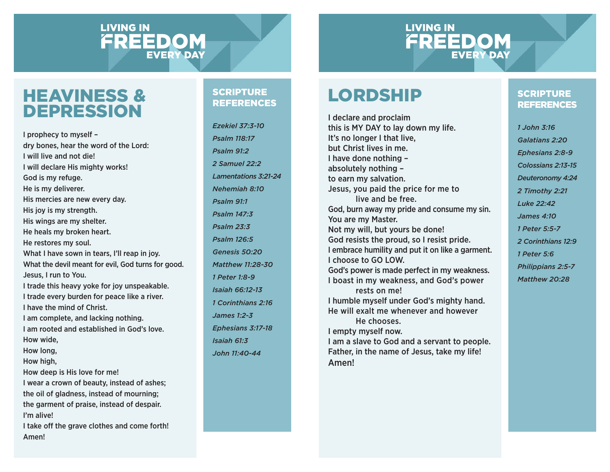#### **LIVING IN** FREEDOM **EVERY DAY**

#### **LIVING IN** FREEDOM **EVERY DAY**

#### HEAVINESS & DEPRESSION

I prophecy to myself – dry bones, hear the word of the Lord: I will live and not die!I will declare His mighty works! God is my refuge. He is my deliverer. His mercies are new every day. His joy is my strength. His wings are my shelter. He heals my broken heart. He restores my soul. What I have sown in tears, I'll reap in joy. What the devil meant for evil, God turns for good. Jesus, I run to You. I trade this heavy yoke for joy unspeakable. I trade every burden for peace like a river. I have the mind of Christ.I am complete, and lacking nothing. I am rooted and established in God's love.How wide, How long, How high, How deep is His love for me! I wear a crown of beauty, instead of ashes; the oil of gladness, instead of mourning; the garment of praise, instead of despair. I'm alive!I take off the grave clothes and come forth! Amen!

#### **SCRIPTURE** REFERENCES

*Ezekiel 37:3-10Psalm 118:17Psalm 91:22 Samuel 22:2Lamentations 3:21-24 Nehemiah 8:10Psalm 91:1Psalm 147:3Psalm 23:3Psalm 126:5Genesis 50:20Matthew 11:28-301 Peter 1:8-9Isaiah 66:12-131 Corinthians 2:16James 1:2-3Ephesians 3:17-18 Isaiah 61:3John 11:40-44*

### LORDSHIP

Amen!

I declare and proclaim this is MY DAY to lay down my life. It's no longer I that live, but Christ lives in me.I have done nothing – absolutely nothing – to earn my salvation. Jesus, you paid the price for me to live and be free.God, burn away my pride and consume my sin. You are my Master. Not my will, but yours be done! God resists the proud, so I resist pride. I embrace humility and put it on like a garment. I choose to GO LOW.God's power is made perfect in my weakness. I boast in my weakness, and God's power rests on me!I humble myself under God's mighty hand. He will exalt me whenever and however He chooses.I empty myself now. I am a slave to God and a servant to people. Father, in the name of Jesus, take my life!

#### **SCRIPTURE REFERENCES**

*1 John 3:16 Galatians 2:20 Ephesians 2:8-9 Colossians 2:13-15 Deuteronomy 4:24 2 Timothy 2:21 Luke 22:42James 4:101 Peter 5:5-72 Corinthians 12:9 1 Peter 5:6 Philippians 2:5-7 Matthew 20:28*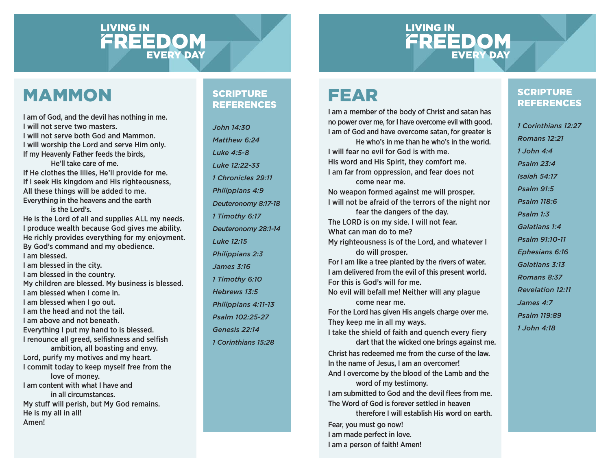# **LIVING IN FREEDOM**

### **LIVING IN FREEDOM**

### MAMMON

I am of God, and the devil has nothing in me. I will not serve two masters.I will not serve both God and Mammon.I will worship the Lord and serve Him only. If my Heavenly Father feeds the birds, He'll take care of me.If He clothes the lilies, He'll provide for me. If I seek His kingdom and His righteousness,

All these things will be added to me. Everything in the heavens and the earth is the Lord's.

He is the Lord of all and supplies ALL my needs. I produce wealth because God gives me ability. He richly provides everything for my enjoyment. By God's command and my obedience. I am blessed.I am blessed in the city. I am blessed in the country. My children are blessed. My business is blessed. I am blessed when I come in.I am blessed when I go out. I am the head and not the tail.

I am above and not beneath.

Everything I put my hand to is blessed.

I renounce all greed, selfishness and selfish ambition, all boasting and envy.

Lord, purify my motives and my heart. I commit today to keep myself free from the love of money. I am content with what I have and in all circumstances.My stuff will perish, but My God remains. He is my all in all! Amen!

#### **SCRIPTURE** REFERENCES

*John 14:30Matthew 6:24Luke 4:5-8Luke 12:22-331 Chronicles 29:11Philippians 4:9 Deuteronomy 8:17-18 1 Timothy 6:17 Deuteronomy 28:1-14 Luke 12:15Philippians 2:3 James 3:161 Timothy 6:10 Hebrews 13:5Philippians 4:11-13 Psalm 102:25-27 Genesis 22:141 Corinthians 15:28*

# FEAR

I am a member of the body of Christ and satan has no power over me, for I have overcome evil with good. I am of God and have overcome satan, for greater is He who's in me than he who's in the world.I will fear no evil for God is with me.His word and His Spirit, they comfort me. I am far from oppression, and fear does not come near me. No weapon formed against me will prosper. I will not be afraid of the terrors of the night nor fear the dangers of the day. The LORD is on my side. I will not fear. What can man do to me?My righteousness is of the Lord, and whatever I do will prosper. For I am like a tree planted by the rivers of water. I am delivered from the evil of this present world. For this is God's will for me.No evil will befall me! Neither will any plague come near me.For the Lord has given His angels charge over me. They keep me in all my ways. I take the shield of faith and quench every fiery dart that the wicked one brings against me. Christ has redeemed me from the curse of the law.In the name of Jesus, I am an overcomer! And I overcome by the blood of the Lamb and the word of my testimony. I am submitted to God and the devil flees from me. The Word of God is forever settled in heaven therefore I will establish His word on earth. Fear, you must go now!

I am made perfect in love. I am a person of faith! Amen!

#### **SCRIPTURE** REFERENCES

*1 Corinthians 12:27Romans 12:211 John 4:4Psalm 23:4Isaiah 54:17Psalm 91:5Psalm 118:6Psalm 1:3Galatians 1:4Psalm 91:10-11Ephesians 6:16 Galatians 3:13Romans 8:37Revelation 12:11James 4:7Psalm 119:891 John 4:18*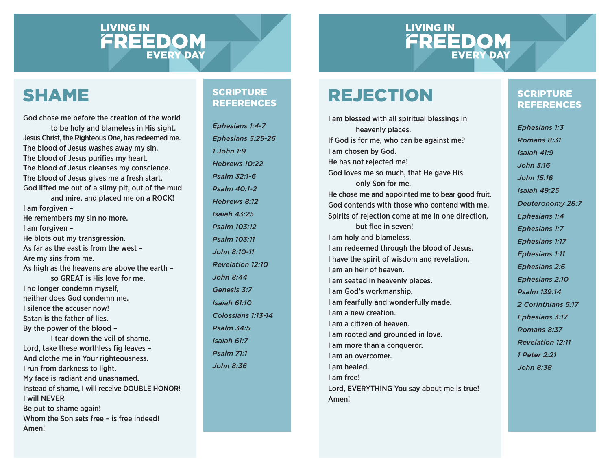# **LIVING IN FREEDOM**

### **LIVING IN FREEDOM**

### SHAME

God chose me before the creation of the world to be holy and blameless in His sight. Jesus Christ, the Righteous One, has redeemed me. The blood of Jesus washes away my sin. The blood of Jesus purifies my heart. The blood of Jesus cleanses my conscience. The blood of Jesus gives me a fresh start. God lifted me out of a slimy pit, out of the mud and mire, and placed me on a ROCK! I am forgiven – He remembers my sin no more. I am forgiven – He blots out my transgression. As far as the east is from the west –Are my sins from me. As high as the heavens are above the earth – so GREAT is His love for me.I no longer condemn myself, neither does God condemn me.I silence the accuser now!Satan is the father of lies.By the power of the blood – I tear down the veil of shame. Lord, take these worthless fig leaves -And clothe me in Your righteousness. I run from darkness to light. My face is radiant and unashamed. Instead of shame, I will receive DOUBLE HONOR!

I will NEVERBe put to shame again!

Whom the Son sets free – is free indeed! Amen!

#### **SCRIPTURE** REFERENCES

*Ephesians 1:4-7 Ephesians 5:25-26 1 John 1:9 Hebrews 10:22 Psalm 32:1-6 Psalm 40:1-2 Hebrews 8:12 Isaiah 43:25 Psalm 103:12 Psalm 103:11John 8:10-11 Revelation 12:10 John 8:44Genesis 3:7Isaiah 61:10 Colossians 1:13-14 Psalm 34:5Isaiah 61:7Psalm 71:1John 8:36*

# REJECTION

I am blessed with all spiritual blessings in heavenly places. If God is for me, who can be against me? I am chosen by God. He has not rejected me! God loves me so much, that He gave His only Son for me. He chose me and appointed me to bear good fruit. God contends with those who contend with me.Spirits of rejection come at me in one direction, but flee in seven! I am holy and blameless. I am redeemed through the blood of Jesus. I have the spirit of wisdom and revelation. I am an heir of heaven.I am seated in heavenly places. I am God's workmanship. I am fearfully and wonderfully made. I am a new creation.I am a citizen of heaven.I am rooted and grounded in love. I am more than a conqueror. I am an overcomer.I am healed.I am free!Lord, EVERYTHING You say about me is true!

Amen!

#### **SCRIPTURE REFERENCES**

*Ephesians 1:3 Romans 8:31 Isaiah 41:9John 3:16John 15:16Isaiah 49:25 Deuteronomy 28:7 Ephesians 1:4 Ephesians 1:7 Ephesians 1:17 Ephesians 1:11 Ephesians 2:6 Ephesians 2:10 Psalm 139:142 Corinthians 5:17 Ephesians 3:17 Romans 8:37 Revelation 12:111 Peter 2:21 John 8:38*